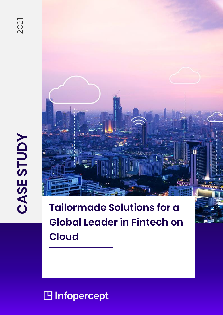

# **CASE STUDY** 2021 **CASE STUDY**

**Tailormade Solutions for a Global Leader in Fintech on Cloud**

# INFOREST 1 | P a g e a g e a g e a g e a g e a g e a g e a g e a g e a g e a g e a g e a g e a g e a g e a g e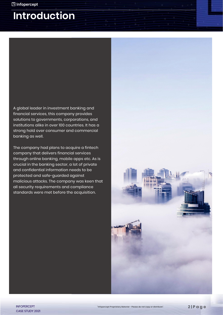## **Introduction**

A global leader in investment banking and financial services, this company provides solutions to governments, corporations, and institutions alike in over 100 countries. It has a strong hold over consumer and commercial banking as well.

The company had plans to acquire a fintech company that delivers financial services through online banking, mobile apps etc. As is crucial in the banking sector, a lot of private and confidential information needs to be protected and safe-guarded against malicious attacks. The company was keen that all security requirements and compliance standards were met before the acquisition.

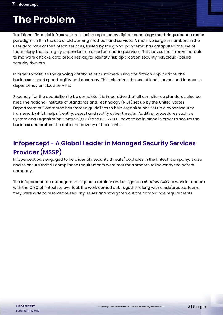# **The Problem**

Traditional financial infrastructure is being replaced by digital technology that brings about a major paradigm shift in the use of old banking methods and services. A massive surge in numbers in the user database of the fintech services, fueled by the global pandemic has catapulted the use of technology that is largely dependent on cloud computing services. This leaves the firms vulnerable to malware attacks, data breaches, digital identity risk, application security risk, cloud-based security risks etc.

In order to cater to the growing database of customers using the fintech applications, the businesses need speed, agility and accuracy. This minimizes the use of local servers and increases dependency on cloud servers.

Secondly, for the acquisition to be complete it is imperative that all compliance standards also be met. The National Institute of Standards and Technology (NIST) set up by the United States Department of Commerce has framed guidelines to help organizations set up a cyber security framework which helps identify, detect and rectify cyber threats. Auditing procedures such as System and Organization Controls (SOC) and ISO 270001 have to be in place in order to secure the business and protect the data and privacy of the clients.

## **Infopercept - A Global Leader in Managed Security Services Provider (MSSP)**

Infopercept was engaged to help identify security threats/loopholes in the fintech company. It also had to ensure that all compliance requirements were met for a smooth takeover by the parent company.

The Infopercept top management signed a retainer and assigned a *shadow CISO* to work in tandem with the CISO of fintech to overlook the work carried out. Together along with a risk/process team, they were able to resolve the security issues and straighten out the compliance requirements.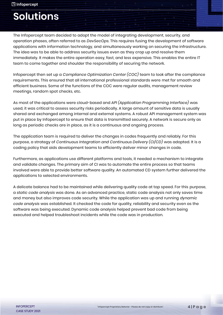# **Solutions**

The Infopercept team decided to adopt the model of integrating development, security, and operation phases, often referred to as *DevSecOps*. This requires fusing the development of software applications with information technology, and simultaneously working on securing the infrastructure. The idea was to be able to address security issues even as they crop up and resolve them immediately. It makes the entire operation easy, fast, and less expensive. This enables the entire IT team to come together and shoulder the responsibility of securing the network.

Infopercept then set up a *Compliance Optimization Center (COC)* team to look after the compliance requirements. This ensured that all international professional standards were met for smooth and efficient business. Some of the functions of the COC were regular audits, management review meetings, random spot checks, etc.

As most of the applications were cloud-based and *API (Application Programming Interface)* was used, it was critical to assess security risks periodically. A large amount of sensitive data is usually shared and exchanged among internal and external systems. A robust API management system was put in place by Infopercept to ensure that data is transmitted securely. A network is secure only as long as periodic checks are in place, as it is a continuous and ongoing process.

The application team is required to deliver the changes in codes frequently and reliably. For this purpose, a strategy of *Continuous Integration and Continuous Delivery (CI/CD)* was adopted. It is a coding policy that aids development teams to efficiently deliver minor changes in code.

Furthermore, as applications use different platforms and tools, it needed a mechanism to integrate and validate changes. The primary aim of CI was to automate the entire process so that teams involved were able to provide better software quality. An automated CD system further delivered the applications to selected environments.

A delicate balance had to be maintained while delivering quality code at top speed. For this purpose, a *static code analysis* was done. As an advanced practice, static code analysis not only saves time and money but also improves code security. While the application was up and running *dynamic code analysis* was established. It checked the code for quality, reliability and security even as the software was being executed. Dynamic code analysis helped prevent bad code from being executed and helped troubleshoot incidents while the code was in production.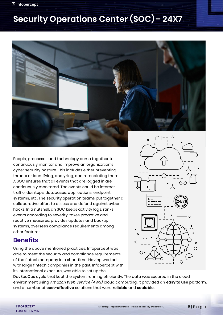## □ Infopercept

# **Security Operations Center (SOC) - 24X7**



People, processes and technology come together to continuously monitor and improve an organization's cyber security posture. This includes either preventing threats or identifying, analyzing, and remediating them. A SOC ensures that all events that are logged in are continuously monitored. The events could be internet traffic, desktops, databases, applications, endpoint systems, etc. The security operation teams put together a collaborative effort to assess and defend against cyber hacks. In a nutshell, an SOC keeps activity logs, ranks events according to severity, takes proactive and reactive measures, provides updates and backup systems, oversees compliance requirements among other features.

## **Benefits**

Using the above mentioned practices, Infopercept was able to meet the security and compliance requirements of the fintech company in a short time. Having worked with large fintech companies in the past, Infopercept with its international exposure, was able to set up the



DevSecOps cycle that kept the system running efficiently. The data was secured in the cloud environment using *Amazon Web Service (AWS)* cloud computing. It provided an **easy to use** platform, and a number of **cost-effective** solutions that were **reliable** and **scalable.**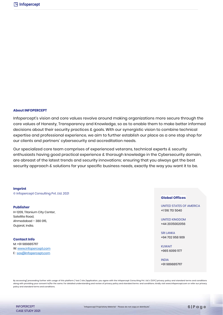### **About INFOPERCEPT**

Infopercept's vision and core values revolve around making organizations more secure through the core values of Honesty, Transparency and Knowledge, so as to enable them to make better informed decisions about their security practices & goals. With our synergistic vision to combine technical expertise and professional experience, we aim to further establish our place as a one stop shop for our clients and partners' cybersecurity and accreditation needs.

Our specialized core team comprises of experienced veterans, technical experts & security enthusiasts having good practical experience & thorough knowledge in the Cybersecurity domain, are abreast of the latest trends and security innovations; ensuring that you always get the best security approach & solutions for your specific business needs, exactly the way you want it to be.

#### **Imprint**

© Infopercept Consulting Pvt. Ltd. 2021

#### **Publisher**

H-1209, Titanium City Center, Satellite Road, Ahmedabad – 380 015, Gujarat, India.

## **Contact Info**

M: +91 9898857117 W[: www.infopercept.com](http://www.infopercept.com/) E [: sos@infopercept.com](mailto:sos@infopercept.com)

## **Global Offices**

UNITED STATES OF AMERICA +1 516 713 5040

UNITED KINGDOM +44 2035002056

**SRI LANKA** +94 702 958 909

**KUWAIT** +965 6099 1177

INDIA +91 9898857117

By accessing/ proceeding further with usage of this platform / tool / site /application, you agree with the Infopercept Consulting Pvt. Ltd.'s (ICPL) privacy policy and standard terms and conditions along with providing your consent to/for the same. For detailed understanding and review of privacy policy and standard terms and conditions. kindly visit www.infopercept.com or refer our privacy policy and standard terms and conditions.